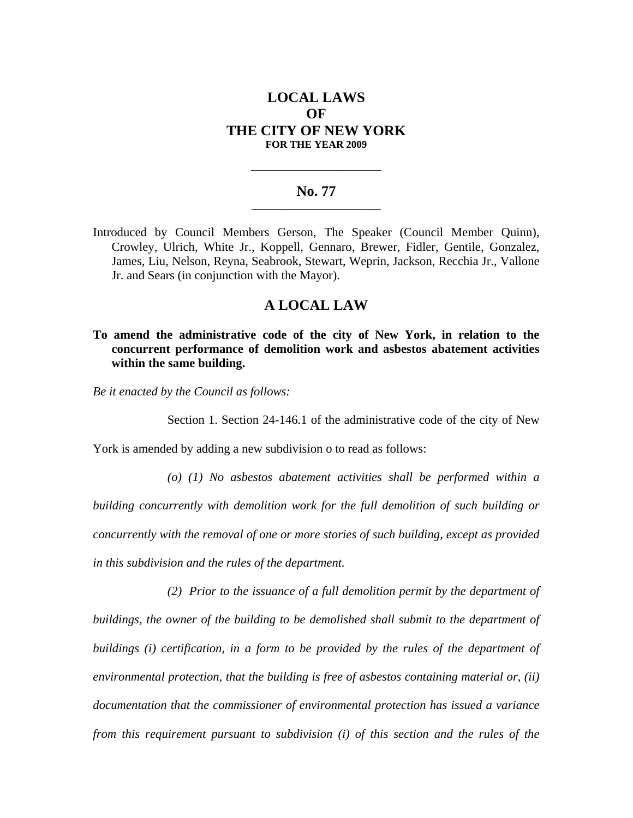# **LOCAL LAWS OF THE CITY OF NEW YORK FOR THE YEAR 2009**

#### No. 77

**\_\_\_\_\_\_\_\_\_\_\_\_\_\_\_\_\_\_\_\_\_\_\_\_\_\_\_\_** 

Introduced by Council Members Gerson, The Speaker (Council Member Quinn), Crowley, Ulrich, White Jr., Koppell, Gennaro, Brewer, Fidler, Gentile, Gonzalez, James, Liu, Nelson, Reyna, Seabrook, Stewart, Weprin, Jackson, Recchia Jr., Vallone Jr. and Sears (in conjunction with the Mayor).

## **A LOCAL LAW**

### **To amend the administrative code of the city of New York, in relation to the concurrent performance of demolition work and asbestos abatement activities within the same building.**

*Be it enacted by the Council as follows:* 

Section 1. Section 24-146.1 of the administrative code of the city of New

York is amended by adding a new subdivision o to read as follows:

*(o) (1) No asbestos abatement activities shall be performed within a building concurrently with demolition work for the full demolition of such building or concurrently with the removal of one or more stories of such building, except as provided in this subdivision and the rules of the department.* 

*(2) Prior to the issuance of a full demolition permit by the department of buildings, the owner of the building to be demolished shall submit to the department of buildings (i) certification, in a form to be provided by the rules of the department of environmental protection, that the building is free of asbestos containing material or, (ii) documentation that the commissioner of environmental protection has issued a variance from this requirement pursuant to subdivision (i) of this section and the rules of the*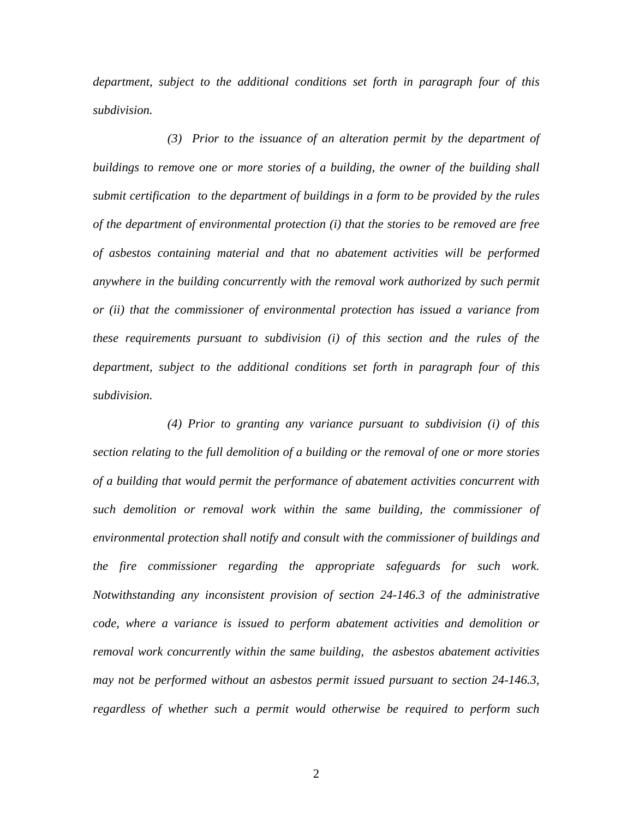*department, subject to the additional conditions set forth in paragraph four of this subdivision.* 

*(3) Prior to the issuance of an alteration permit by the department of*  buildings to remove one or more stories of a building, the owner of the building shall *submit certification to the department of buildings in a form to be provided by the rules of the department of environmental protection (i) that the stories to be removed are free of asbestos containing material and that no abatement activities will be performed anywhere in the building concurrently with the removal work authorized by such permit or (ii) that the commissioner of environmental protection has issued a variance from these requirements pursuant to subdivision (i) of this section and the rules of the department, subject to the additional conditions set forth in paragraph four of this subdivision.* 

 *(4) Prior to granting any variance pursuant to subdivision (i) of this section relating to the full demolition of a building or the removal of one or more stories of a building that would permit the performance of abatement activities concurrent with such demolition or removal work within the same building, the commissioner of environmental protection shall notify and consult with the commissioner of buildings and the fire commissioner regarding the appropriate safeguards for such work. Notwithstanding any inconsistent provision of section 24-146.3 of the administrative code, where a variance is issued to perform abatement activities and demolition or removal work concurrently within the same building, the asbestos abatement activities may not be performed without an asbestos permit issued pursuant to section 24-146.3, regardless of whether such a permit would otherwise be required to perform such*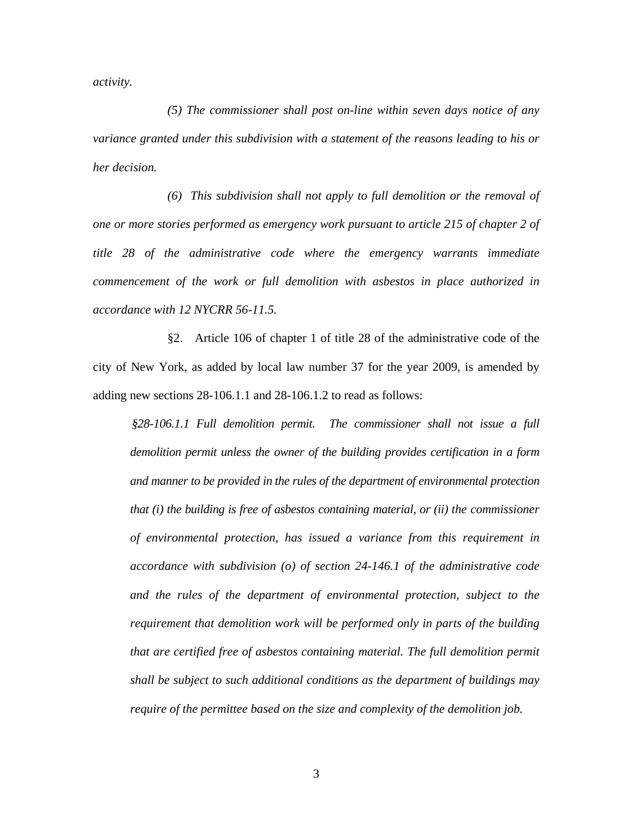*activity.* 

*(5) The commissioner shall post on-line within seven days notice of any variance granted under this subdivision with a statement of the reasons leading to his or her decision.* 

*(6) This subdivision shall not apply to full demolition or the removal of one or more stories performed as emergency work pursuant to article 215 of chapter 2 of title 28 of the administrative code where the emergency warrants immediate commencement of the work or full demolition with asbestos in place authorized in accordance with 12 NYCRR 56-11.5.* 

§2. Article 106 of chapter 1 of title 28 of the administrative code of the city of New York, as added by local law number 37 for the year 2009, is amended by adding new sections 28-106.1.1 and 28-106.1.2 to read as follows:

*§28-106.1.1 Full demolition permit. The commissioner shall not issue a full demolition permit unless the owner of the building provides certification in a form and manner to be provided in the rules of the department of environmental protection that (i) the building is free of asbestos containing material, or (ii) the commissioner of environmental protection, has issued a variance from this requirement in accordance with subdivision (o) of section 24-146.1 of the administrative code and the rules of the department of environmental protection, subject to the requirement that demolition work will be performed only in parts of the building that are certified free of asbestos containing material. The full demolition permit shall be subject to such additional conditions as the department of buildings may require of the permittee based on the size and complexity of the demolition job.*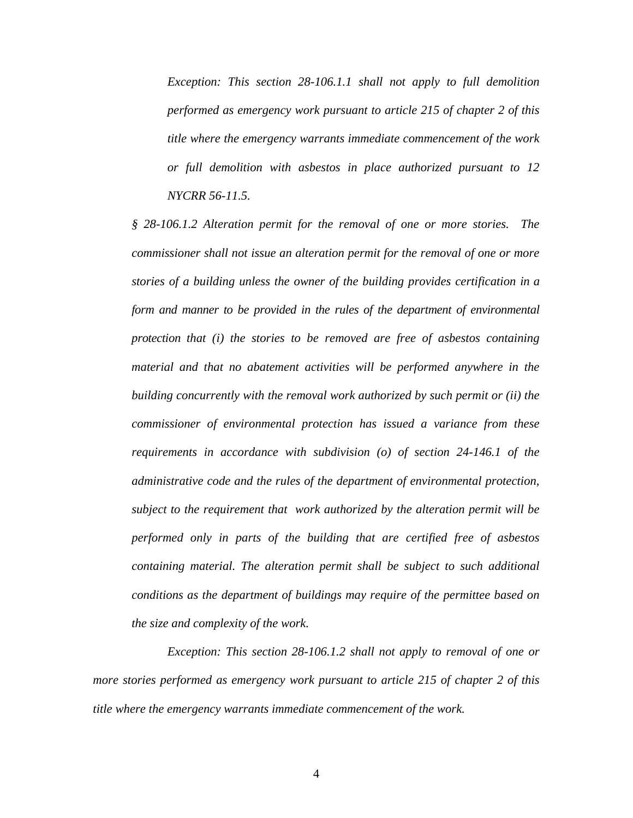*Exception: This section 28-106.1.1 shall not apply to full demolition performed as emergency work pursuant to article 215 of chapter 2 of this title where the emergency warrants immediate commencement of the work or full demolition with asbestos in place authorized pursuant to 12 NYCRR 56-11.5.* 

*§ 28-106.1.2 Alteration permit for the removal of one or more stories. The commissioner shall not issue an alteration permit for the removal of one or more stories of a building unless the owner of the building provides certification in a form and manner to be provided in the rules of the department of environmental protection that (i) the stories to be removed are free of asbestos containing material and that no abatement activities will be performed anywhere in the building concurrently with the removal work authorized by such permit or (ii) the commissioner of environmental protection has issued a variance from these requirements in accordance with subdivision (o) of section 24-146.1 of the administrative code and the rules of the department of environmental protection, subject to the requirement that work authorized by the alteration permit will be performed only in parts of the building that are certified free of asbestos containing material. The alteration permit shall be subject to such additional conditions as the department of buildings may require of the permittee based on the size and complexity of the work.* 

*Exception: This section 28-106.1.2 shall not apply to removal of one or more stories performed as emergency work pursuant to article 215 of chapter 2 of this title where the emergency warrants immediate commencement of the work.*